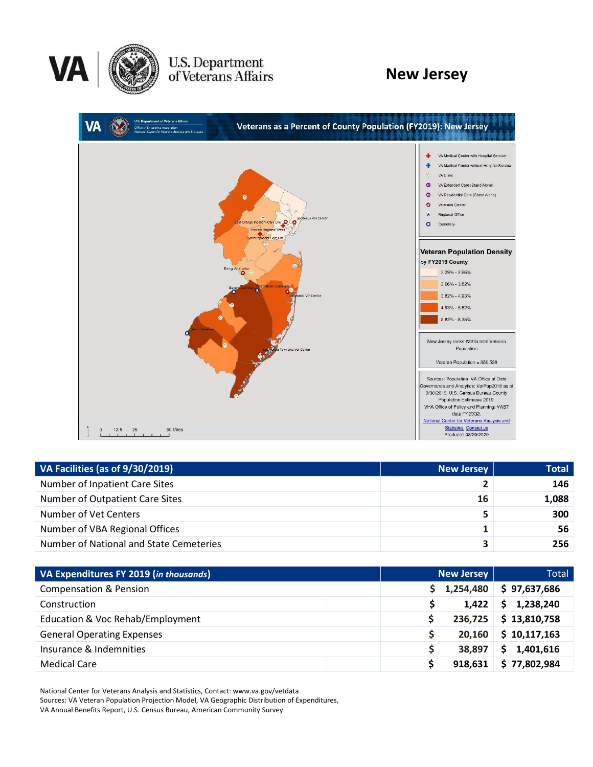

U.S. Department<br>of Veterans Affairs

# **New Jersey**



| VA Facilities (as of 9/30/2019)         | New Jersey | <b>Total</b> |
|-----------------------------------------|------------|--------------|
| Number of Inpatient Care Sites          |            | 146          |
| Number of Outpatient Care Sites         | 16         | 1,088        |
| Number of Vet Centers                   | 5          | 300          |
| Number of VBA Regional Offices          | 1          | 56           |
| Number of National and State Cemeteries | 3          | 256          |

| VA Expenditures FY 2019 (in thousands) | <b>New Jersey</b> | Total           |  |
|----------------------------------------|-------------------|-----------------|--|
| <b>Compensation &amp; Pension</b>      | 1,254,480         | \$97,637,686    |  |
| Construction                           | 1,422             | 1,238,240<br>S. |  |
| Education & Voc Rehab/Employment       | 236,725           | \$13,810,758    |  |
| <b>General Operating Expenses</b>      | 20,160            | \$10,117,163    |  |
| Insurance & Indemnities                | 38.897            | 1,401,616       |  |
| <b>Medical Care</b>                    | 918,631           | \$77,802,984    |  |

National Center for Veterans Analysis and Statistics, Contact: www.va.gov/vetdata Sources: VA Veteran Population Projection Model, VA Geographic Distribution of Expenditures, VA Annual Benefits Report, U.S. Census Bureau, American Community Survey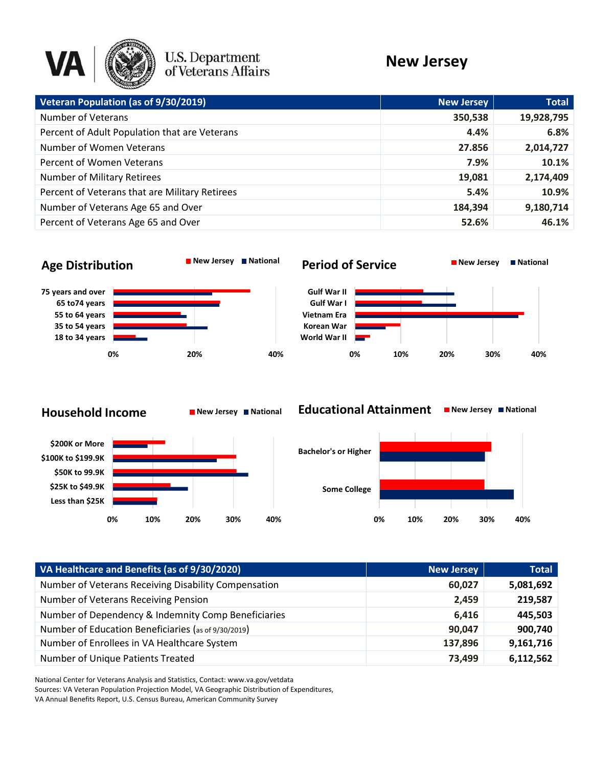

# U.S. Department<br>of Veterans Affairs

# **New Jersey**

| Veteran Population (as of 9/30/2019)           | <b>New Jersey</b> | <b>Total</b> |
|------------------------------------------------|-------------------|--------------|
| <b>Number of Veterans</b>                      | 350,538           | 19,928,795   |
| Percent of Adult Population that are Veterans  | 4.4%              | 6.8%         |
| Number of Women Veterans                       | 27.856            | 2,014,727    |
| Percent of Women Veterans                      | 7.9%              | 10.1%        |
| <b>Number of Military Retirees</b>             | 19,081            | 2,174,409    |
| Percent of Veterans that are Military Retirees | 5.4%              | 10.9%        |
| Number of Veterans Age 65 and Over             | 184,394           | 9,180,714    |
| Percent of Veterans Age 65 and Over            | 52.6%             | 46.1%        |
|                                                |                   |              |

## **Age Distribution New Jersey National**



#### **Period of Service New Jersey National**







#### **Educational Attainment ■ New Jersey ■ National**



| VA Healthcare and Benefits (as of 9/30/2020)         | <b>New Jersey</b> | <b>Total</b> |
|------------------------------------------------------|-------------------|--------------|
| Number of Veterans Receiving Disability Compensation | 60.027            | 5,081,692    |
| Number of Veterans Receiving Pension                 | 2.459             | 219,587      |
| Number of Dependency & Indemnity Comp Beneficiaries  | 6.416             | 445,503      |
| Number of Education Beneficiaries (as of 9/30/2019)  | 90,047            | 900,740      |
| Number of Enrollees in VA Healthcare System          | 137,896           | 9,161,716    |
| Number of Unique Patients Treated                    | 73.499            | 6,112,562    |

National Center for Veterans Analysis and Statistics, Contact: www.va.gov/vetdata Sources: VA Veteran Population Projection Model, VA Geographic Distribution of Expenditures,

VA Annual Benefits Report, U.S. Census Bureau, American Community Survey